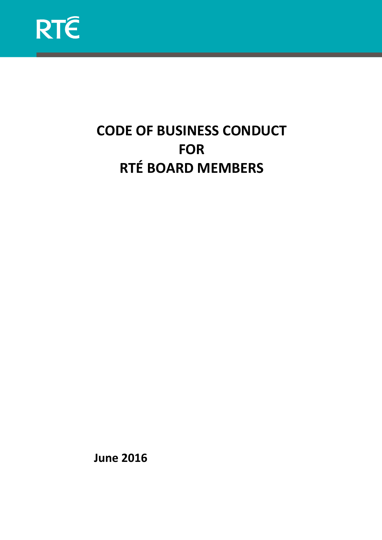

# **CODE OF BUSINESS CONDUCT FOR RTÉ BOARD MEMBERS**

**June 2016**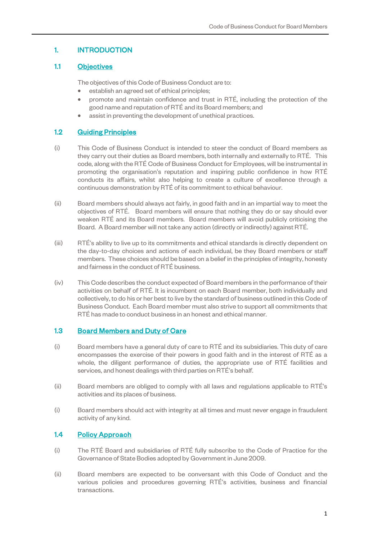# 1. INTRODUCTION

## 1.1 Objectives

The objectives of this Code of Business Conduct are to:

- establish an agreed set of ethical principles;
- promote and maintain confidence and trust in RTÉ, including the protection of the good name and reputation of RTÉ and its Board members; and
- assist in preventing the development of unethical practices.

#### 1.2 Guiding Principles

- (i) This Code of Business Conduct is intended to steer the conduct of Board members as they carry out their duties as Board members, both internally and externally to RTÉ. This code, along with the RTÉ Code of Business Conduct for Employees, will be instrumental in promoting the organisation's reputation and inspiring public confidence in how RTÉ conducts its affairs, whilst also helping to create a culture of excellence through a continuous demonstration by RTÉ of its commitment to ethical behaviour.
- (ii) Board members should always act fairly, in good faith and in an impartial way to meet the objectives of RTÉ. Board members will ensure that nothing they do or say should ever weaken RTÉ and its Board members. Board members will avoid publicly criticising the Board. A Board member will not take any action (directly or indirectly) against RTÉ.
- (iii) RTÉ's ability to live up to its commitments and ethical standards is directly dependent on the day-to-day choices and actions of each individual, be they Board members or staff members. These choices should be based on a belief in the principles of integrity, honesty and fairness in the conduct of RTÉ business.
- (iv) This Code describes the conduct expected of Board members in the performance of their activities on behalf of RTÉ. It is incumbent on each Board member, both individually and collectively, to do his or her best to live by the standard of business outlined in this Code of Business Conduct. Each Board member must also strive to support all commitments that RTÉ has made to conduct business in an honest and ethical manner.

## 1.3 Board Members and Duty of Care

- (i) Board members have a general duty of care to RTÉ and its subsidiaries. This duty of care encompasses the exercise of their powers in good faith and in the interest of RTÉ as a whole, the diligent performance of duties, the appropriate use of RTÉ facilities and services, and honest dealings with third parties on RTÉ's behalf.
- (ii) Board members are obliged to comply with all laws and regulations applicable to RTÉ's activities and its places of business.
- (i) Board members should act with integrity at all times and must never engage in fraudulent activity of any kind.

## 1.4 Policy Approach

- (i) The RTÉ Board and subsidiaries of RTÉ fully subscribe to the Code of Practice for the Governance of State Bodies adopted by Government in June 2009.
- (ii) Board members are expected to be conversant with this Code of Conduct and the various policies and procedures governing RTÉ's activities, business and financial transactions.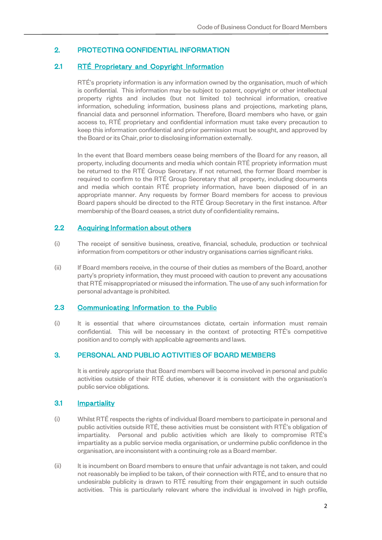# 2. PROTECTING CONFIDENTIAL INFORMATION

# 2.1 RTÉ Proprietary and Copyright Information

RTÉ's propriety information is any information owned by the organisation, much of which is confidential. This information may be subject to patent, copyright or other intellectual property rights and includes (but not limited to) technical information, creative information, scheduling information, business plans and projections, marketing plans, financial data and personnel information. Therefore, Board members who have, or gain access to, RTÉ proprietary and confidential information must take every precaution to keep this information confidential and prior permission must be sought, and approved by the Board or its Chair, prior to disclosing information externally.

In the event that Board members cease being members of the Board for any reason, all property, including documents and media which contain RTÉ propriety information must be returned to the RTÉ Group Secretary. If not returned, the former Board member is required to confirm to the RTÉ Group Secretary that all property, including documents and media which contain RTÉ propriety information, have been disposed of in an appropriate manner. Any requests by former Board members for access to previous Board papers should be directed to the RTÉ Group Secretary in the first instance. After membership of the Board ceases, a strict duty of confidentiality remains.

## 2.2 Acquiring Information about others

- (i) The receipt of sensitive business, creative, financial, schedule, production or technical information from competitors or other industry organisations carries significant risks.
- (ii) If Board members receive, in the course of their duties as members of the Board, another party's propriety information, they must proceed with caution to prevent any accusations that RTÉ misappropriated or misused the information. The use of any such information for personal advantage is prohibited.

## 2.3 Communicating Information to the Public

(i) It is essential that where circumstances dictate, certain information must remain confidential. This will be necessary in the context of protecting RTÉ's competitive position and to comply with applicable agreements and laws.

## 3. PERSONAL AND PUBLIC ACTIVITIES OF BOARD MEMBERS

It is entirely appropriate that Board members will become involved in personal and public activities outside of their RTÉ duties, whenever it is consistent with the organisation's public service obligations.

## 3.1 Impartiality

- (i) Whilst RTÉ respects the rights of individual Board members to participate in personal and public activities outside RTÉ, these activities must be consistent with RTÉ's obligation of impartiality. Personal and public activities which are likely to compromise RTÉ's impartiality as a public service media organisation, or undermine public confidence in the organisation, are inconsistent with a continuing role as a Board member.
- (ii) It is incumbent on Board members to ensure that unfair advantage is not taken, and could not reasonably be implied to be taken, of their connection with RTÉ, and to ensure that no undesirable publicity is drawn to RTÉ resulting from their engagement in such outside activities. This is particularly relevant where the individual is involved in high profile,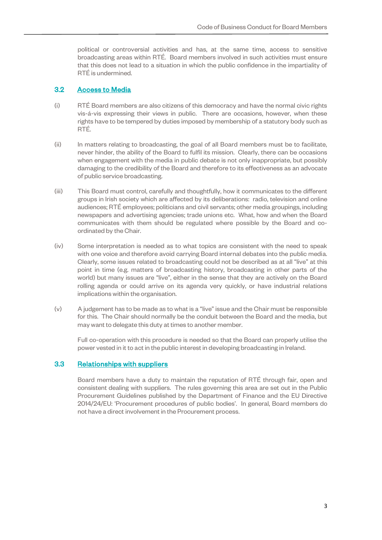political or controversial activities and has, at the same time, access to sensitive broadcasting areas within RTÉ. Board members involved in such activities must ensure that this does not lead to a situation in which the public confidence in the impartiality of RTÉ is undermined.

## 3.2 Access to Media

- (i) RTÉ Board members are also citizens of this democracy and have the normal civic rights vis-á-vis expressing their views in public. There are occasions, however, when these rights have to be tempered by duties imposed by membership of a statutory body such as RTÉ.
- (ii) In matters relating to broadcasting, the goal of all Board members must be to facilitate, never hinder, the ability of the Board to fulfil its mission. Clearly, there can be occasions when engagement with the media in public debate is not only inappropriate, but possibly damaging to the credibility of the Board and therefore to its effectiveness as an advocate of public service broadcasting.
- (iii) This Board must control, carefully and thoughtfully, how it communicates to the different groups in Irish society which are affected by its deliberations: radio, television and online audiences; RTÉ employees; politicians and civil servants; other media groupings, including newspapers and advertising agencies; trade unions etc. What, how and when the Board communicates with them should be regulated where possible by the Board and coordinated by the Chair.
- (iv) Some interpretation is needed as to what topics are consistent with the need to speak with one voice and therefore avoid carrying Board internal debates into the public media. Clearly, some issues related to broadcasting could not be described as at all "live" at this point in time (e.g. matters of broadcasting history, broadcasting in other parts of the world) but many issues are "live", either in the sense that they are actively on the Board rolling agenda or could arrive on its agenda very quickly, or have industrial relations implications within the organisation.
- (v) A judgement has to be made as to what is a "live" issue and the Chair must be responsible for this. The Chair should normally be the conduit between the Board and the media, but may want to delegate this duty at times to another member.

Full co-operation with this procedure is needed so that the Board can properly utilise the power vested in it to act in the public interest in developing broadcasting in Ireland.

## 3.3 Relationships with suppliers

Board members have a duty to maintain the reputation of RTÉ through fair, open and consistent dealing with suppliers. The rules governing this area are set out in the Public Procurement Guidelines published by the Department of Finance and the EU Directive 2014/24/EU: 'Procurement procedures of public bodies'. In general, Board members do not have a direct involvement in the Procurement process.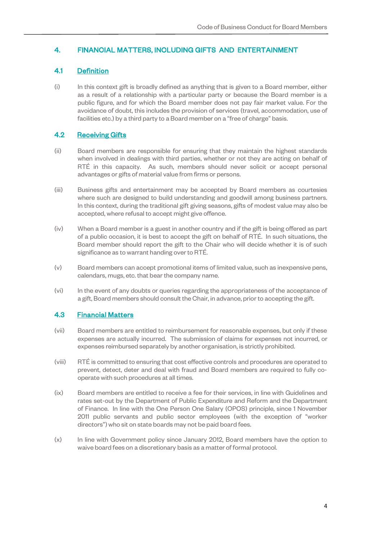# 4. FINANCIAL MATTERS, INCLUDING GIFTS AND ENTERTAINMENT

## 4.1 Definition

(i) In this context gift is broadly defined as anything that is given to a Board member, either as a result of a relationship with a particular party or because the Board member is a public figure, and for which the Board member does not pay fair market value. For the avoidance of doubt, this includes the provision of services (travel, accommodation, use of facilities etc.) by a third party to a Board member on a "free of charge" basis.

## 4.2 Receiving Gifts

- (ii) Board members are responsible for ensuring that they maintain the highest standards when involved in dealings with third parties, whether or not they are acting on behalf of RTÉ in this capacity. As such, members should never solicit or accept personal advantages or gifts of material value from firms or persons.
- (iii) Business gifts and entertainment may be accepted by Board members as courtesies where such are designed to build understanding and goodwill among business partners. In this context, during the traditional gift giving seasons, gifts of modest value may also be accepted, where refusal to accept might give offence.
- (iv) When a Board member is a guest in another country and if the gift is being offered as part of a public occasion, it is best to accept the gift on behalf of RTÉ. In such situations, the Board member should report the gift to the Chair who will decide whether it is of such significance as to warrant handing over to RTÉ.
- (v) Board members can accept promotional items of limited value, such as inexpensive pens, calendars, mugs, etc. that bear the company name.
- (vi) In the event of any doubts or queries regarding the appropriateness of the acceptance of a gift, Board members should consult the Chair, in advance, prior to accepting the gift.

#### 4.3 Financial Matters

- (vii) Board members are entitled to reimbursement for reasonable expenses, but only if these expenses are actually incurred. The submission of claims for expenses not incurred, or expenses reimbursed separately by another organisation, is strictly prohibited.
- (viii) RTÉ is committed to ensuring that cost effective controls and procedures are operated to prevent, detect, deter and deal with fraud and Board members are required to fully cooperate with such procedures at all times.
- (ix) Board members are entitled to receive a fee for their services, in line with Guidelines and rates set-out by the Department of Public Expenditure and Reform and the Department of Finance. In line with the One Person One Salary (OPOS) principle, since 1 November 2011 public servants and public sector employees (with the exception of "worker directors") who sit on state boards may not be paid board fees.
- (x) In line with Government policy since January 2012, Board members have the option to waive board fees on a discretionary basis as a matter of formal protocol.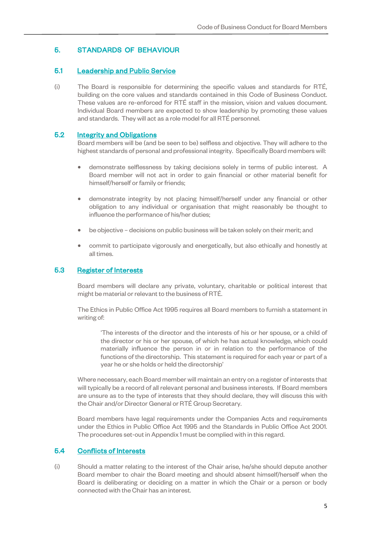# 5. STANDARDS OF BEHAVIOUR

## 5.1 Leadership and Public Service

(i) The Board is responsible for determining the specific values and standards for RTÉ, building on the core values and standards contained in this Code of Business Conduct. These values are re-enforced for RTÉ staff in the mission, vision and values document. Individual Board members are expected to show leadership by promoting these values and standards. They will act as a role model for all RTÉ personnel.

#### 5.2 Integrity and Obligations

Board members will be (and be seen to be) selfless and objective. They will adhere to the highest standards of personal and professional integrity. Specifically Board members will:

- demonstrate selflessness by taking decisions solely in terms of public interest. A Board member will not act in order to gain financial or other material benefit for himself/herself or family or friends;
- demonstrate integrity by not placing himself/herself under any financial or other obligation to any individual or organisation that might reasonably be thought to influence the performance of his/her duties;
- be objective decisions on public business will be taken solely on their merit; and
- commit to participate vigorously and energetically, but also ethically and honestly at all times.

#### 5.3 Register of Interests

Board members will declare any private, voluntary, charitable or political interest that might be material or relevant to the business of RTÉ.

The Ethics in Public Office Act 1995 requires all Board members to furnish a statement in writing of:

'The interests of the director and the interests of his or her spouse, or a child of the director or his or her spouse, of which he has actual knowledge, which could materially influence the person in or in relation to the performance of the functions of the directorship. This statement is required for each year or part of a year he or she holds or held the directorship'

Where necessary, each Board member will maintain an entry on a register of interests that will typically be a record of all relevant personal and business interests. If Board members are unsure as to the type of interests that they should declare, they will discuss this with the Chair and/or Director General or RTÉ Group Secretary.

Board members have legal requirements under the Companies Acts and requirements under the Ethics in Public Office Act 1995 and the Standards in Public Office Act 2001. The procedures set-out in Appendix 1 must be complied with in this regard.

#### 5.4 Conflicts of Interests

(i) Should a matter relating to the interest of the Chair arise, he/she should depute another Board member to chair the Board meeting and should absent himself/herself when the Board is deliberating or deciding on a matter in which the Chair or a person or body connected with the Chair has an interest.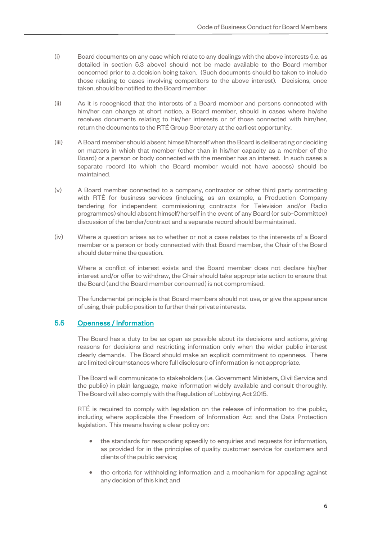- (i) Board documents on any case which relate to any dealings with the above interests (i.e. as detailed in section 5.3 above) should not be made available to the Board member concerned prior to a decision being taken. (Such documents should be taken to include those relating to cases involving competitors to the above interest). Decisions, once taken, should be notified to the Board member.
- (ii) As it is recognised that the interests of a Board member and persons connected with him/her can change at short notice, a Board member, should in cases where he/she receives documents relating to his/her interests or of those connected with him/her, return the documents to the RTÉ Group Secretary at the earliest opportunity.
- (iii) A Board member should absent himself/herself when the Board is deliberating or deciding on matters in which that member (other than in his/her capacity as a member of the Board) or a person or body connected with the member has an interest. In such cases a separate record (to which the Board member would not have access) should be maintained.
- (v) A Board member connected to a company, contractor or other third party contracting with RTÉ for business services (including, as an example, a Production Company tendering for independent commissioning contracts for Television and/or Radio programmes) should absent himself/herself in the event of any Board (or sub-Committee) discussion of the tender/contract and a separate record should be maintained.
- (iv) Where a question arises as to whether or not a case relates to the interests of a Board member or a person or body connected with that Board member, the Chair of the Board should determine the question.

Where a conflict of interest exists and the Board member does not declare his/her interest and/or offer to withdraw, the Chair should take appropriate action to ensure that the Board (and the Board member concerned) is not compromised.

The fundamental principle is that Board members should not use, or give the appearance of using, their public position to further their private interests.

# 5.5 Openness / Information

The Board has a duty to be as open as possible about its decisions and actions, giving reasons for decisions and restricting information only when the wider public interest clearly demands. The Board should make an explicit commitment to openness. There are limited circumstances where full disclosure of information is not appropriate.

The Board will communicate to stakeholders (i.e. Government Ministers, Civil Service and the public) in plain language, make information widely available and consult thoroughly. The Board will also comply with the Regulation of Lobbying Act 2015.

RTÉ is required to comply with legislation on the release of information to the public, including where applicable the Freedom of Information Act and the Data Protection legislation. This means having a clear policy on:

- the standards for responding speedily to enquiries and requests for information, as provided for in the principles of quality customer service for customers and clients of the public service;
- the criteria for withholding information and a mechanism for appealing against any decision of this kind; and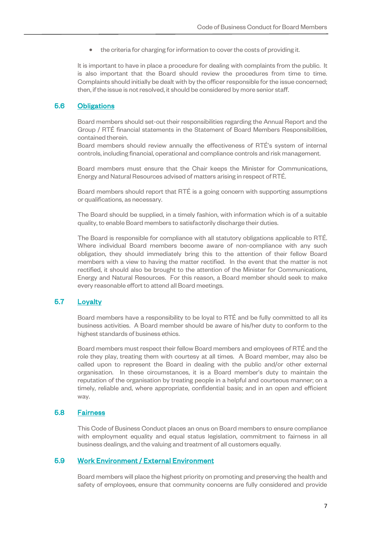• the criteria for charging for information to cover the costs of providing it.

It is important to have in place a procedure for dealing with complaints from the public. It is also important that the Board should review the procedures from time to time. Complaints should initially be dealt with by the officer responsible for the issue concerned; then, if the issue is not resolved, it should be considered by more senior staff.

## 5.6 Obligations

Board members should set-out their responsibilities regarding the Annual Report and the Group / RTÉ financial statements in the Statement of Board Members Responsibilities, contained therein.

Board members should review annually the effectiveness of RTÉ's system of internal controls, including financial, operational and compliance controls and risk management.

Board members must ensure that the Chair keeps the Minister for Communications, Energy and Natural Resources advised of matters arising in respect of RTÉ.

Board members should report that RTÉ is a going concern with supporting assumptions or qualifications, as necessary.

The Board should be supplied, in a timely fashion, with information which is of a suitable quality, to enable Board members to satisfactorily discharge their duties.

The Board is responsible for compliance with all statutory obligations applicable to RTÉ. Where individual Board members become aware of non-compliance with any such obligation, they should immediately bring this to the attention of their fellow Board members with a view to having the matter rectified. In the event that the matter is not rectified, it should also be brought to the attention of the Minister for Communications, Energy and Natural Resources. For this reason, a Board member should seek to make every reasonable effort to attend all Board meetings.

# 5.7 Loyalty

Board members have a responsibility to be loyal to RTÉ and be fully committed to all its business activities. A Board member should be aware of his/her duty to conform to the highest standards of business ethics.

Board members must respect their fellow Board members and employees of RTÉ and the role they play, treating them with courtesy at all times. A Board member, may also be called upon to represent the Board in dealing with the public and/or other external organisation. In these circumstances, it is a Board member's duty to maintain the reputation of the organisation by treating people in a helpful and courteous manner; on a timely, reliable and, where appropriate, confidential basis; and in an open and efficient way.

#### 5.8 Fairness

This Code of Business Conduct places an onus on Board members to ensure compliance with employment equality and equal status legislation, commitment to fairness in all business dealings, and the valuing and treatment of all customers equally.

## 5.9 Work Environment / External Environment

Board members will place the highest priority on promoting and preserving the health and safety of employees, ensure that community concerns are fully considered and provide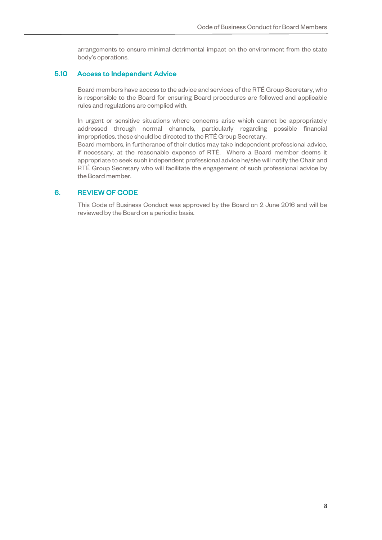arrangements to ensure minimal detrimental impact on the environment from the state body's operations.

# 5.10 Access to Independent Advice

Board members have access to the advice and services of the RTÉ Group Secretary, who is responsible to the Board for ensuring Board procedures are followed and applicable rules and regulations are complied with.

In urgent or sensitive situations where concerns arise which cannot be appropriately addressed through normal channels, particularly regarding possible financial improprieties, these should be directed to the RTÉ Group Secretary.

Board members, in furtherance of their duties may take independent professional advice, if necessary, at the reasonable expense of RTÉ. Where a Board member deems it appropriate to seek such independent professional advice he/she will notify the Chair and RTÉ Group Secretary who will facilitate the engagement of such professional advice by the Board member.

## 6. REVIEW OF CODE

This Code of Business Conduct was approved by the Board on 2 June 2016 and will be reviewed by the Board on a periodic basis.